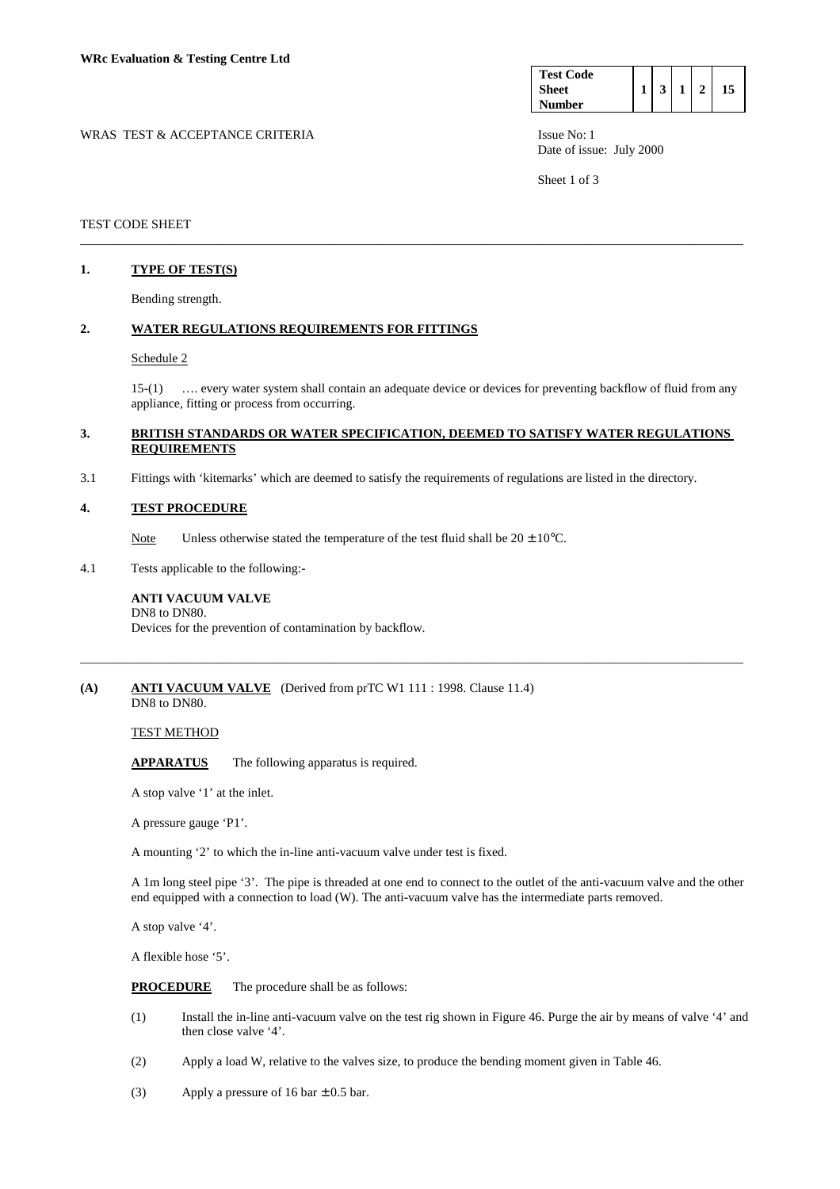| <b>Test Code</b> |  |  |  |
|------------------|--|--|--|
| <b>Sheet</b>     |  |  |  |
| <b>Number</b>    |  |  |  |

WRAS TEST & ACCEPTANCE CRITERIA **ISSUE NO:** 1 Date of issue: July 2000

Sheet 1 of 3

# TEST CODE SHEET

# **1. TYPE OF TEST(S)**

Bending strength.

## **2. WATER REGULATIONS REQUIREMENTS FOR FITTINGS**

#### Schedule 2

 15-(1) …. every water system shall contain an adequate device or devices for preventing backflow of fluid from any appliance, fitting or process from occurring.

## **3. BRITISH STANDARDS OR WATER SPECIFICATION, DEEMED TO SATISFY WATER REGULATIONS REQUIREMENTS**

\_\_\_\_\_\_\_\_\_\_\_\_\_\_\_\_\_\_\_\_\_\_\_\_\_\_\_\_\_\_\_\_\_\_\_\_\_\_\_\_\_\_\_\_\_\_\_\_\_\_\_\_\_\_\_\_\_\_\_\_\_\_\_\_\_\_\_\_\_\_\_\_\_\_\_\_\_\_\_\_\_\_\_\_\_\_\_\_\_\_\_\_\_\_\_\_\_\_\_\_\_\_\_

\_\_\_\_\_\_\_\_\_\_\_\_\_\_\_\_\_\_\_\_\_\_\_\_\_\_\_\_\_\_\_\_\_\_\_\_\_\_\_\_\_\_\_\_\_\_\_\_\_\_\_\_\_\_\_\_\_\_\_\_\_\_\_\_\_\_\_\_\_\_\_\_\_\_\_\_\_\_\_\_\_\_\_\_\_\_\_\_\_\_\_\_\_\_\_\_\_\_\_\_\_\_\_

3.1 Fittings with 'kitemarks' which are deemed to satisfy the requirements of regulations are listed in the directory.

#### **4. TEST PROCEDURE**

Note Unless otherwise stated the temperature of the test fluid shall be  $20 \pm 10^{\circ}$ C.

4.1 Tests applicable to the following:-

#### **ANTI VACUUM VALVE**  DN8 to DN80.

Devices for the prevention of contamination by backflow.

# **(A) ANTI VACUUM VALVE** (Derived from prTC W1 111 : 1998. Clause 11.4)

DN8 to DN80.

## TEST METHOD

**APPARATUS** The following apparatus is required.

A stop valve '1' at the inlet.

A pressure gauge 'P1'.

A mounting '2' to which the in-line anti-vacuum valve under test is fixed.

 A 1m long steel pipe '3'. The pipe is threaded at one end to connect to the outlet of the anti-vacuum valve and the other end equipped with a connection to load (W). The anti-vacuum valve has the intermediate parts removed.

A stop valve '4'.

A flexible hose '5'.

**PROCEDURE** The procedure shall be as follows:

- (1) Install the in-line anti-vacuum valve on the test rig shown in Figure 46. Purge the air by means of valve '4' and then close valve '4'.
- (2) Apply a load W, relative to the valves size, to produce the bending moment given in Table 46.
- (3) Apply a pressure of 16 bar  $\pm$  0.5 bar.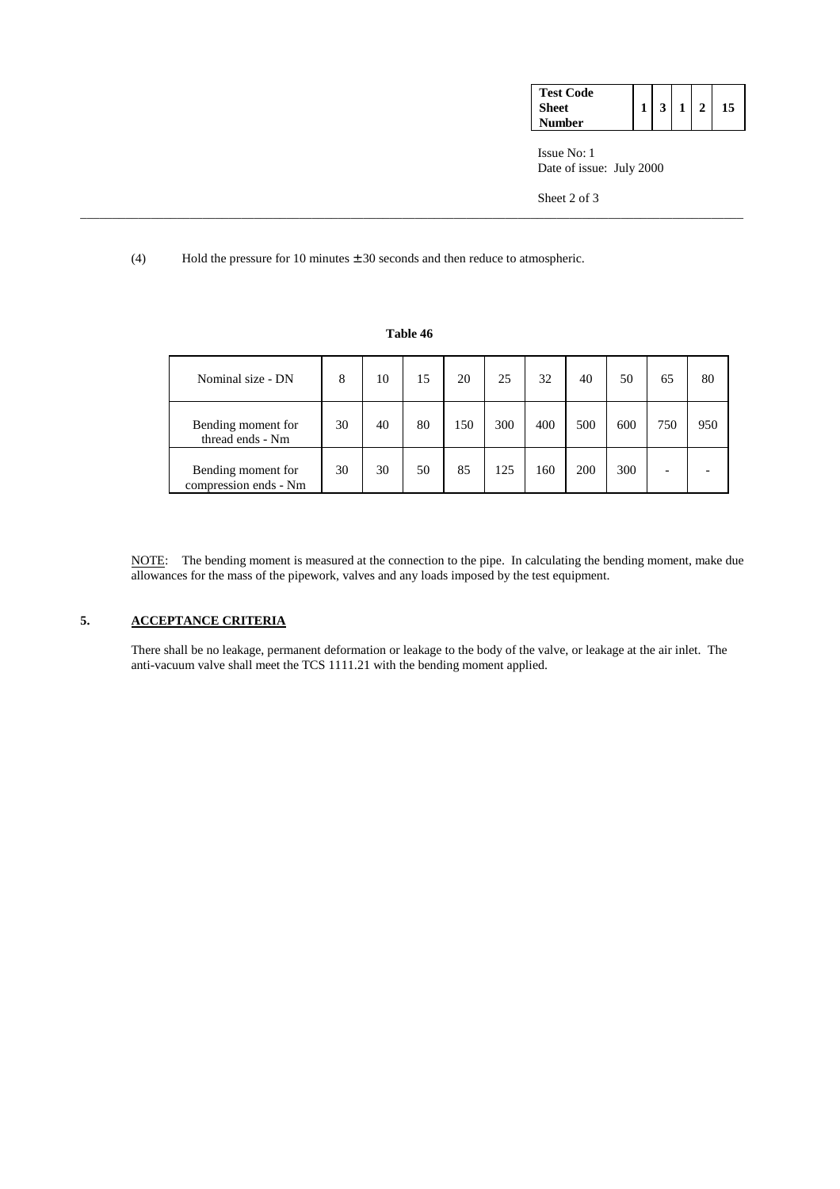| <b>Test Code</b> |  |  |    |
|------------------|--|--|----|
| <b>Sheet</b>     |  |  | 15 |
| Number           |  |  |    |

 Issue No: 1 Date of issue: July 2000

Sheet 2 of 3

(4) Hold the pressure for 10 minutes  $\pm$  30 seconds and then reduce to atmospheric.

| Nominal size - DN                           | 8  | 10 | 15 | 20  | 25  | 32  | 40  | 50  | 65  | 80  |
|---------------------------------------------|----|----|----|-----|-----|-----|-----|-----|-----|-----|
| Bending moment for<br>thread ends - Nm      | 30 | 40 | 80 | 150 | 300 | 400 | 500 | 600 | 750 | 950 |
| Bending moment for<br>compression ends - Nm | 30 | 30 | 50 | 85  | 125 | 160 | 200 | 300 | -   |     |

 NOTE: The bending moment is measured at the connection to the pipe. In calculating the bending moment, make due allowances for the mass of the pipework, valves and any loads imposed by the test equipment.

# **5. ACCEPTANCE CRITERIA**

 There shall be no leakage, permanent deformation or leakage to the body of the valve, or leakage at the air inlet. The anti-vacuum valve shall meet the TCS 1111.21 with the bending moment applied.

#### **Table 46**

\_\_\_\_\_\_\_\_\_\_\_\_\_\_\_\_\_\_\_\_\_\_\_\_\_\_\_\_\_\_\_\_\_\_\_\_\_\_\_\_\_\_\_\_\_\_\_\_\_\_\_\_\_\_\_\_\_\_\_\_\_\_\_\_\_\_\_\_\_\_\_\_\_\_\_\_\_\_\_\_\_\_\_\_\_\_\_\_\_\_\_\_\_\_\_\_\_\_\_\_\_\_\_